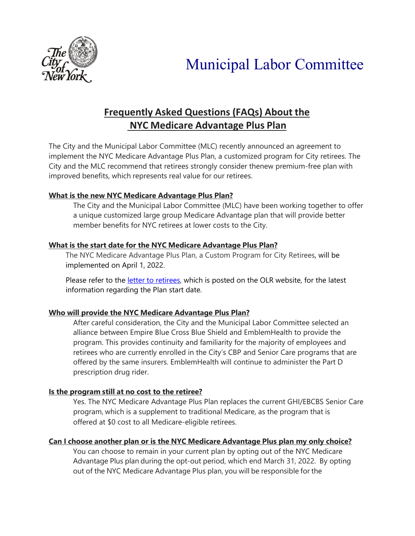

# **Frequently Asked Questions (FAQs) About the NYC Medicare Advantage Plus Plan**

The City and the Municipal Labor Committee (MLC) recently announced an agreement to implement the NYC Medicare Advantage Plus Plan, a customized program for City retirees. The City and the MLC recommend that retirees strongly consider thenew premium-free plan with improved benefits, which represents real value for our retirees.

# **What is the new NYC Medicare Advantage Plus Plan?**

The City and the Municipal Labor Committee (MLC) have been working together to offer a unique customized large group Medicare Advantage plan that will provide better member benefits for NYC retirees at lower costs to the City.

## **What is the start date for the NYC Medicare Advantage Plus Plan?**

The NYC Medicare Advantage Plus Plan, a Custom Program for City Retirees, will be implemented on April 1, 2022.

Please refer to the [letter to retirees,](https://www1.nyc.gov/assets/olr/downloads/pdf/health/letter-to-retirees-version-12-17-21-v6.pdf) which is posted on the OLR website, for the latest information regarding the Plan start date.

# **Who will provide the NYC Medicare Advantage Plus Plan?**

After careful consideration, the City and the Municipal Labor Committee selected an alliance between Empire Blue Cross Blue Shield and EmblemHealth to provide the program. This provides continuity and familiarity for the majority of employees and retirees who are currently enrolled in the City's CBP and Senior Care programs that are offered by the same insurers. EmblemHealth will continue to administer the Part D prescription drug rider.

# **Is the program still at no cost to the retiree?**

Yes. The NYC Medicare Advantage Plus Plan replaces the current GHI/EBCBS Senior Care program, which is a supplement to traditional Medicare, as the program that is offered at \$0 cost to all Medicare-eligible retirees.

## **Can I choose another plan or is the NYC Medicare Advantage Plus plan my only choice?**

You can choose to remain in your current plan by opting out of the NYC Medicare Advantage Plus plan during the opt-out period, which end March 31, 2022. By opting out of the NYC Medicare Advantage Plus plan, you will be responsible for the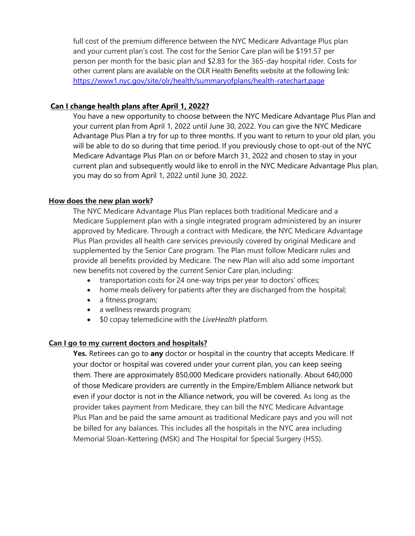full cost of the premium difference between the NYC Medicare Advantage Plus plan and your current plan's cost. The cost for the Senior Care plan will be \$191.57 per person per month for the basic plan and \$2.83 for the 365-day hospital rider. Costs for other current plans are available on the OLR Health Benefits website at the following link: <https://www1.nyc.gov/site/olr/health/summaryofplans/health-ratechart.page>

#### **Can I change health plans after April 1, 2022?**

You have a new opportunity to choose between the NYC Medicare Advantage Plus Plan and your current plan from April 1, 2022 until June 30, 2022. You can give the NYC Medicare Advantage Plus Plan a try for up to three months. If you want to return to your old plan, you will be able to do so during that time period. If you previously chose to opt-out of the NYC Medicare Advantage Plus Plan on or before March 31, 2022 and chosen to stay in your current plan and subsequently would like to enroll in the NYC Medicare Advantage Plus plan, you may do so from April 1, 2022 until June 30, 2022.

#### **How does the new plan work?**

The NYC Medicare Advantage Plus Plan replaces both traditional Medicare and a Medicare Supplement plan with a single integrated program administered by an insurer approved by Medicare. Through a contract with Medicare, the NYC Medicare Advantage Plus Plan provides all health care services previously covered by original Medicare and supplemented by the Senior Care program. The Plan must follow Medicare rules and provide all benefits provided by Medicare. The new Plan will also add some important new benefits not covered by the current Senior Care plan,including:

- transportation costs for 24 one-way trips per year to doctors' offices;
- home meals delivery for patients after they are discharged from the hospital;
- a fitness program;
- a wellness rewards program;
- \$0 copay telemedicine with the *LiveHealth* platform.

#### **Can I go to my current doctors and hospitals?**

**Yes.** Retirees can go to **any** doctor or hospital in the country that accepts Medicare. If your doctor or hospital was covered under your current plan, you can keep seeing them. There are approximately 850,000 Medicare providers nationally. About 640,000 of those Medicare providers are currently in the Empire/Emblem Alliance network but even if your doctor is not in the Alliance network, you will be covered. As long as the provider takes payment from Medicare, they can bill the NYC Medicare Advantage Plus Plan and be paid the same amount as traditional Medicare pays and you will not be billed for any balances. This includes all the hospitals in the NYC area including Memorial Sloan-Kettering (MSK) and The Hospital for Special Surgery (HSS).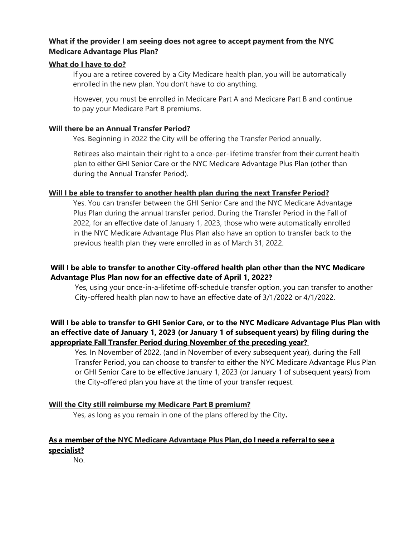## **What if the provider I am seeing does not agree to accept payment from the NYC Medicare Advantage Plus Plan?**

### **What do I have to do?**

If you are a retiree covered by a City Medicare health plan, you will be automatically enrolled in the new plan. You don't have to do anything.

However, you must be enrolled in Medicare Part A and Medicare Part B and continue to pay your Medicare Part B premiums.

#### **Will there be an Annual Transfer Period?**

Yes. Beginning in 2022 the City will be offering the Transfer Period annually.

Retirees also maintain their right to a once-per-lifetime transfer from their current health plan to either GHI Senior Care or the NYC Medicare Advantage Plus Plan (other than during the Annual Transfer Period).

### **Will I be able to transfer to another health plan during the next Transfer Period?**

Yes. You can transfer between the GHI Senior Care and the NYC Medicare Advantage Plus Plan during the annual transfer period. During the Transfer Period in the Fall of 2022, for an effective date of January 1, 2023, those who were automatically enrolled in the NYC Medicare Advantage Plus Plan also have an option to transfer back to the previous health plan they were enrolled in as of March 31, 2022.

## **Will I be able to transfer to another City-offered health plan other than the NYC Medicare Advantage Plus Plan now for an effective date of April 1, 2022?**

Yes, using your once-in-a-lifetime off-schedule transfer option, you can transfer to another City-offered health plan now to have an effective date of 3/1/2022 or 4/1/2022.

## **Will I be able to transfer to GHI Senior Care, or to the NYC Medicare Advantage Plus Plan with an effective date of January 1, 2023 (or January 1 of subsequent years) by filing during the appropriate Fall Transfer Period during November of the preceding year?**

Yes. In November of 2022, (and in November of every subsequent year), during the Fall Transfer Period, you can choose to transfer to either the NYC Medicare Advantage Plus Plan or GHI Senior Care to be effective January 1, 2023 (or January 1 of subsequent years) from the City-offered plan you have at the time of your transfer request.

## **Will the City still reimburse my Medicare Part B premium?**

Yes, as long as you remain in one of the plans offered by the City**.**

### **As a member of the NYC Medicare Advantage Plus Plan, do I needa referralto see a specialist?**

No.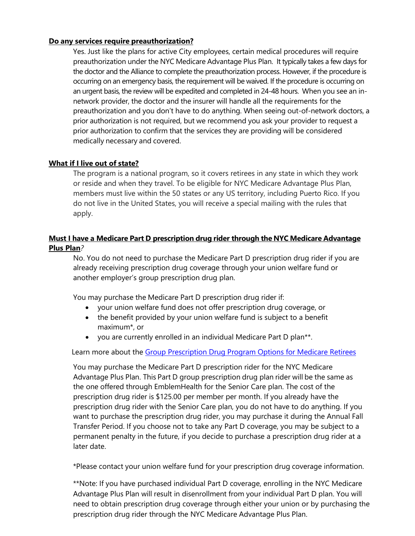### **Do any services require preauthorization?**

Yes. Just like the plans for active City employees, certain medical procedures will require preauthorization under the NYC Medicare Advantage Plus Plan. It typically takes a few days for the doctor and the Alliance to complete the preauthorization process. However, if the procedure is occurring on an emergency basis, the requirement will be waived. If the procedure is occurring on an urgent basis, the review will be expedited and completed in 24-48 hours. When you see an innetwork provider, the doctor and the insurer will handle all the requirements for the preauthorization and you don't have to do anything. When seeing out-of-network doctors, a prior authorization is not required, but we recommend you ask your provider to request a prior authorization to confirm that the services they are providing will be considered medically necessary and covered.

### **What if I live out of state?**

The program is a national program, so it covers retirees in any state in which they work or reside and when they travel. To be eligible for NYC Medicare Advantage Plus Plan, members must live within the 50 states or any US territory, including Puerto Rico. If you do not live in the United States, you will receive a special mailing with the rules that apply.

## **Must I have a Medicare Part D prescription drug rider through the NYC Medicare Advantage Plus Plan***?*

No. You do not need to purchase the Medicare Part D prescription drug rider if you are already receiving prescription drug coverage through your union welfare fund or another employer's group prescription drug plan.

You may purchase the Medicare Part D prescription drug rider if:

- your union welfare fund does not offer prescription drug coverage, or
- the benefit provided by your union welfare fund is subject to a benefit maximum\*, or
- you are currently enrolled in an individual Medicare Part D plan\*\*.

Learn more about the [Group Prescription Drug Program Options for Medicare Retirees](https://www1.nyc.gov/assets/olr/downloads/pdf/health/group-rx-drug-options-for-cny-medicare-retirees-01052022v10.pdf)

You may purchase the Medicare Part D prescription rider for the NYC Medicare Advantage Plus Plan. This Part D group prescription drug plan rider will be the same as the one offered through EmblemHealth for the Senior Care plan. The cost of the prescription drug rider is \$125.00 per member per month. If you already have the prescription drug rider with the Senior Care plan, you do not have to do anything. If you want to purchase the prescription drug rider, you may purchase it during the Annual Fall Transfer Period. If you choose not to take any Part D coverage, you may be subject to a permanent penalty in the future, if you decide to purchase a prescription drug rider at a later date.

\*Please contact your union welfare fund for your prescription drug coverage information.

\*\*Note: If you have purchased individual Part D coverage, enrolling in the NYC Medicare Advantage Plus Plan will result in disenrollment from your individual Part D plan. You will need to obtain prescription drug coverage through either your union or by purchasing the prescription drug rider through the NYC Medicare Advantage Plus Plan.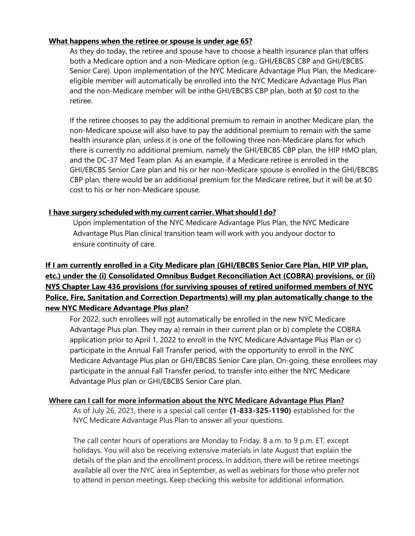#### **What happens when the retiree or spouse is under age 65?**

As they do today, the retiree and spouse have to choose a health insurance plan that offers both a Medicare option and a non-Medicare option (e.g.: GHI/EBCBS CBP and GHI/EBCBS Senior Care). Upon implementation of the NYC Medicare Advantage Plus Plan, the Medicareeligible member will automatically be enrolled into the NYC Medicare Advantage Plus Plan and the non-Medicare member will be inthe GHI/EBCBS CBP plan, both at \$0 cost to the retiree.

If the retiree chooses to pay the additional premium to remain in another Medicare plan, the non-Medicare spouse will also have to pay the additional premium to remain with the same health insurance plan, unless it is one of the following three non-Medicare plans for which there is currently no additional premium, namely the GHI/EBCBS CBP plan, the HIP HMO plan, and the DC-37 Med Team plan. As an example, if a Medicare retiree is enrolled in the GHI/EBCBS Senior Care plan and his or her non-Medicare spouse is enrolled in the GHI/EBCBS CBP plan, there would be an additional premium for the Medicare retiree, but it will be at \$0 cost to his or her non-Medicare spouse.

## **I have surgery scheduled with my current carrier.What should I do?**

Upon implementation of the NYC Medicare Advantage Plus Plan, the NYC Medicare Advantage Plus Plan clinical transition team will work with you andyour doctor to ensure continuity of care.

# **If I am currently enrolled in a City Medicare plan (GHI/EBCBS Senior Care Plan, HIP VIP plan, etc.) under the (i) Consolidated Omnibus Budget Reconciliation Act (COBRA) provisions, or (ii) NYS Chapter Law 436 provisions (for surviving spouses of retired uniformed members of NYC Police, Fire, Sanitation and Correction Departments) will my plan automatically change to the new NYC Medicare Advantage Plus plan?**

For 2022, such enrollees will not automatically be enrolled in the new NYC Medicare Advantage Plus plan. They may a) remain in their current plan or b) complete the COBRA application prior to April 1, 2022 to enroll in the NYC Medicare Advantage Plus Plan or c) participate in the Annual Fall Transfer period, with the opportunity to enroll in the NYC Medicare Advantage Plus plan or GHI/EBCBS Senior Care plan. On-going, these enrollees may participate in the annual Fall Transfer period, to transfer into either the NYC Medicare Advantage Plus plan or GHI/EBCBS Senior Care plan.

## **Where can I call for more information about the NYC Medicare Advantage Plus Plan?**

As of July 26, 2021, there is a special call center **(1-833-325-1190)** established for the NYC Medicare Advantage Plus Plan to answer all your questions.

The call center hours of operations are Monday to Friday, 8 a.m. to 9 p.m. ET, except holidays. You will also be receiving extensive materials in late August that explain the details of the plan and the enrollment process. In addition, there will be retiree meetings available all over the NYC area in September, as well as webinars for those who prefer not to attend in person meetings. Keep checking this website for additional information.